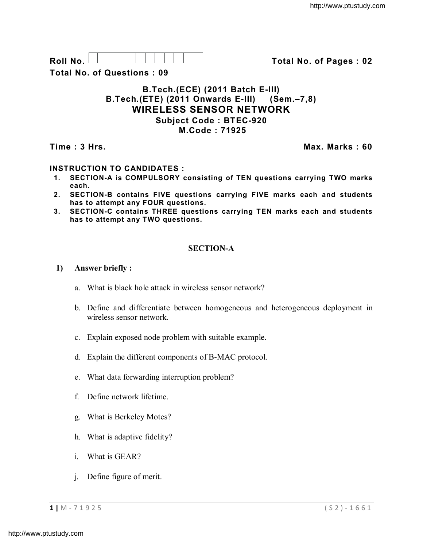| $\mathbf{r}$       |  |  |  |  |  |  |
|--------------------|--|--|--|--|--|--|
| $\mathsf{R}$       |  |  |  |  |  |  |
| .<br>. .<br>$\sim$ |  |  |  |  |  |  |

**Roll No. Total No. of Pages : 02**

**Total No. of Questions : 09**

## **B.Tech.(ECE) (2011 Batch E-III) B.Tech.(ETE) (2011 Onwards E-III) (Sem.–7,8) WIRELESS SENSOR NETWORK Subject Code : BTEC-920 M.Code : 71925**

**Time : 3 Hrs. Max. Marks : 60**

# **INSTRUCTION TO CANDIDATES :**

- **1. SECTION-A is COMPULSORY consisting of TEN questions carrying TWO marks each.**
- **2. SECTION-B contains FIVE questions carrying FIVE marks each and students has to attempt any FOUR questions.**
- **3. SECTION-C contains THREE questions carrying TEN marks each and students has to attempt any TWO questions.**

## **SECTION-A**

### **1) Answer briefly :**

- a. What is black hole attack in wireless sensor network?
- b. Define and differentiate between homogeneous and heterogeneous deployment in wireless sensor network.
- c. Explain exposed node problem with suitable example.
- d. Explain the different components of B-MAC protocol.
- e. What data forwarding interruption problem?
- f. Define network lifetime.
- g. What is Berkeley Motes?
- h. What is adaptive fidelity?
- i. What is GEAR?
- j. Define figure of merit.